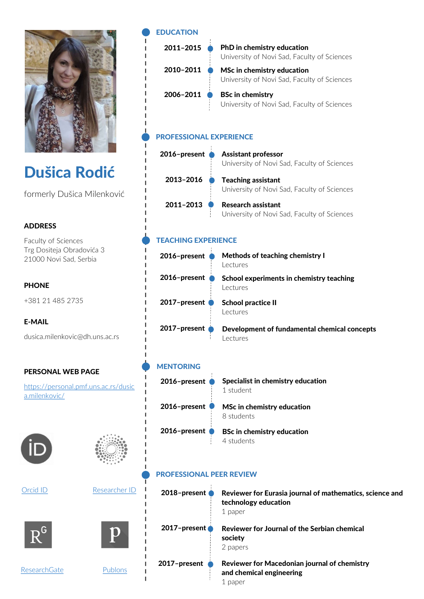

# Dušica Rodić

formerly Dušica Milenković

# ADDRESS

Faculty of Sciences Trg Dositeja Obradovića 3 21000 Novi Sad, Serbia

# **PHONE**

+381 21 485 2735

#### E-MAIL

dusica.milenkovic@dh.uns.ac.rs

#### PERSONAL WEB PAGE

https://personal.pmf.uns.ac.rs/dusic a.milenkovic/







|--|









Publons

I Ï

| <b>EDUCATION</b> |
|------------------|
| 2011-2015        |

| 2010-2011 |  |
|-----------|--|
| 2006-2011 |  |

PhD in chemistry education University of Novi Sad, Faculty of Sciences

MSc in chemistry education University of Novi Sad, Faculty of Sciences

BSc in chemistry University of Novi Sad, Faculty of Sciences

# PROFESSIONAL EXPERIENCE

| 2016-present | <b>Assistant professor</b><br>University of Novi Sad, Faculty of Sciences |
|--------------|---------------------------------------------------------------------------|
| 2013-2016    | <b>Teaching assistant</b><br>University of Novi Sad, Faculty of Sciences  |
| 2011-2013    | <b>Research assistant</b><br>University of Novi Sad, Faculty of Sciences  |

# TEACHING EXPERIENCE

| 2016-present | Methods of teaching chemistry I<br>Lectures             |
|--------------|---------------------------------------------------------|
| 2016-present | School experiments in chemistry teaching<br>Lectures    |
| 2017-present | <b>School practice II</b><br>Lectures                   |
| 2017-present | Development of fundamental chemical concepts<br>ectures |

| <b>MENTORING</b> |                                                |
|------------------|------------------------------------------------|
| 2016-present     | Specialist in chemistry education<br>1 student |
| 2016-present     | MSc in chemistry education<br>8 students       |
| 2016-present     | <b>BSc in chemistry education</b>              |

4 students

# PROFESSIONAL PEER REVIEW

| $2018$ -present | Reviewer for Eurasia journal of mathematics, science and<br>technology education<br>1 paper |
|-----------------|---------------------------------------------------------------------------------------------|
| 2017-present    | Reviewer for Journal of the Serbian chemical<br>society<br>2 papers                         |
| 2017-present    | Reviewer for Macedonian journal of chemistry<br>and chemical engineering<br>paper           |

ResearchGate